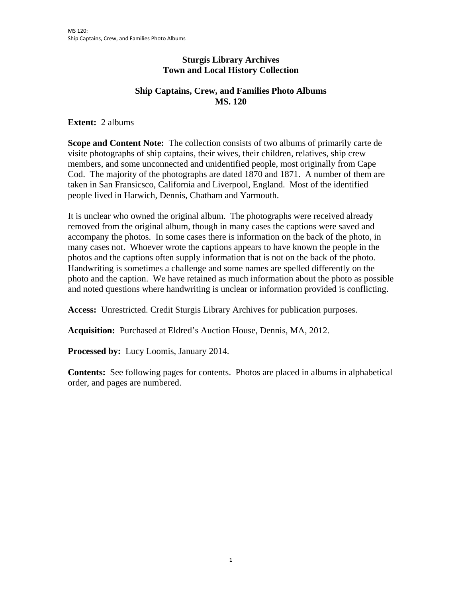## **Sturgis Library Archives Town and Local History Collection**

## **Ship Captains, Crew, and Families Photo Albums MS. 120**

**Extent:** 2 albums

**Scope and Content Note:** The collection consists of two albums of primarily carte de visite photographs of ship captains, their wives, their children, relatives, ship crew members, and some unconnected and unidentified people, most originally from Cape Cod. The majority of the photographs are dated 1870 and 1871. A number of them are taken in San Fransicsco, California and Liverpool, England. Most of the identified people lived in Harwich, Dennis, Chatham and Yarmouth.

It is unclear who owned the original album. The photographs were received already removed from the original album, though in many cases the captions were saved and accompany the photos. In some cases there is information on the back of the photo, in many cases not. Whoever wrote the captions appears to have known the people in the photos and the captions often supply information that is not on the back of the photo. Handwriting is sometimes a challenge and some names are spelled differently on the photo and the caption. We have retained as much information about the photo as possible and noted questions where handwriting is unclear or information provided is conflicting.

**Access:** Unrestricted. Credit Sturgis Library Archives for publication purposes.

**Acquisition:** Purchased at Eldred's Auction House, Dennis, MA, 2012.

**Processed by:** Lucy Loomis, January 2014.

**Contents:** See following pages for contents. Photos are placed in albums in alphabetical order, and pages are numbered.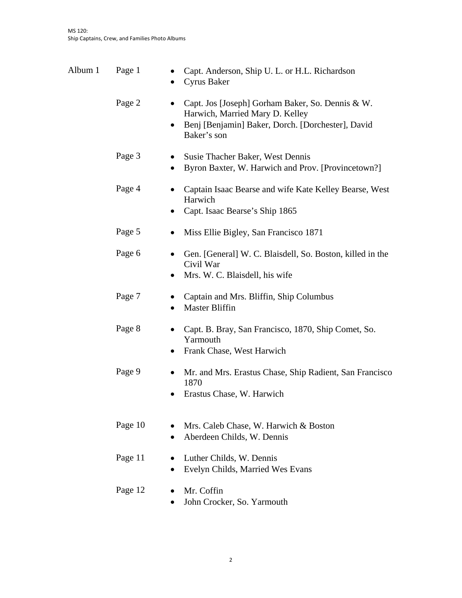| Album 1 | Page 1  | Capt. Anderson, Ship U. L. or H.L. Richardson<br>Cyrus Baker                                                                                            |
|---------|---------|---------------------------------------------------------------------------------------------------------------------------------------------------------|
|         | Page 2  | Capt. Jos [Joseph] Gorham Baker, So. Dennis & W.<br>Harwich, Married Mary D. Kelley<br>Benj [Benjamin] Baker, Dorch. [Dorchester], David<br>Baker's son |
|         | Page 3  | Susie Thacher Baker, West Dennis<br>Byron Baxter, W. Harwich and Prov. [Provincetown?]<br>$\bullet$                                                     |
|         | Page 4  | Captain Isaac Bearse and wife Kate Kelley Bearse, West<br>Harwich<br>Capt. Isaac Bearse's Ship 1865                                                     |
|         | Page 5  | Miss Ellie Bigley, San Francisco 1871<br>$\bullet$                                                                                                      |
|         | Page 6  | Gen. [General] W. C. Blaisdell, So. Boston, killed in the<br>$\bullet$<br>Civil War<br>Mrs. W. C. Blaisdell, his wife                                   |
|         | Page 7  | Captain and Mrs. Bliffin, Ship Columbus<br><b>Master Bliffin</b><br>$\bullet$                                                                           |
|         | Page 8  | Capt. B. Bray, San Francisco, 1870, Ship Comet, So.<br>Yarmouth<br>Frank Chase, West Harwich                                                            |
|         | Page 9  | Mr. and Mrs. Erastus Chase, Ship Radient, San Francisco<br>1870<br>Erastus Chase, W. Harwich                                                            |
|         | Page 10 | Mrs. Caleb Chase, W. Harwich & Boston<br>Aberdeen Childs, W. Dennis<br>$\bullet$                                                                        |
|         | Page 11 | Luther Childs, W. Dennis<br>Evelyn Childs, Married Wes Evans                                                                                            |
|         | Page 12 | Mr. Coffin<br>John Crocker, So. Yarmouth                                                                                                                |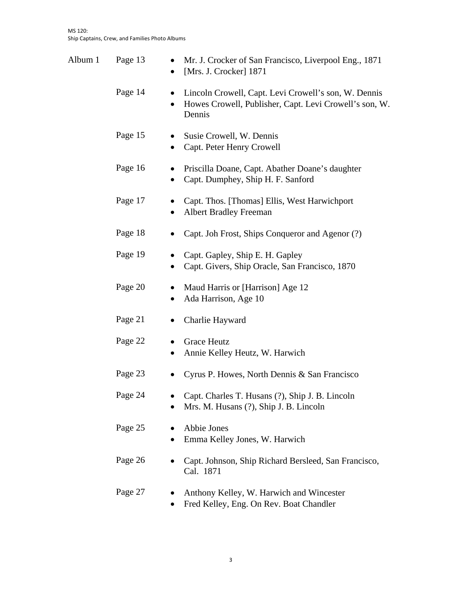| Album 1 | Page 13 | ٠<br>$\bullet$ | Mr. J. Crocker of San Francisco, Liverpool Eng., 1871<br>[Mrs. J. Crocker] 1871                                          |
|---------|---------|----------------|--------------------------------------------------------------------------------------------------------------------------|
|         | Page 14 | $\bullet$      | Lincoln Crowell, Capt. Levi Crowell's son, W. Dennis<br>Howes Crowell, Publisher, Capt. Levi Crowell's son, W.<br>Dennis |
|         | Page 15 | $\bullet$      | Susie Crowell, W. Dennis<br>Capt. Peter Henry Crowell                                                                    |
|         | Page 16 | $\bullet$      | Priscilla Doane, Capt. Abather Doane's daughter<br>Capt. Dumphey, Ship H. F. Sanford                                     |
|         | Page 17 | $\bullet$<br>٠ | Capt. Thos. [Thomas] Ellis, West Harwichport<br><b>Albert Bradley Freeman</b>                                            |
|         | Page 18 |                | Capt. Joh Frost, Ships Conqueror and Agenor (?)                                                                          |
|         | Page 19 | $\bullet$      | Capt. Gapley, Ship E. H. Gapley<br>Capt. Givers, Ship Oracle, San Francisco, 1870                                        |
|         | Page 20 | $\bullet$<br>٠ | Maud Harris or [Harrison] Age 12<br>Ada Harrison, Age 10                                                                 |
|         | Page 21 | $\bullet$      | Charlie Hayward                                                                                                          |
|         | Page 22 | $\bullet$<br>٠ | <b>Grace Heutz</b><br>Annie Kelley Heutz, W. Harwich                                                                     |
|         | Page 23 | $\bullet$      | Cyrus P. Howes, North Dennis & San Francisco                                                                             |
|         | Page 24 |                | Capt. Charles T. Husans (?), Ship J. B. Lincoln<br>Mrs. M. Husans (?), Ship J. B. Lincoln                                |
|         | Page 25 |                | Abbie Jones<br>Emma Kelley Jones, W. Harwich                                                                             |
|         | Page 26 |                | Capt. Johnson, Ship Richard Bersleed, San Francisco,<br>Cal. 1871                                                        |
|         | Page 27 |                | Anthony Kelley, W. Harwich and Wincester<br>Fred Kelley, Eng. On Rev. Boat Chandler                                      |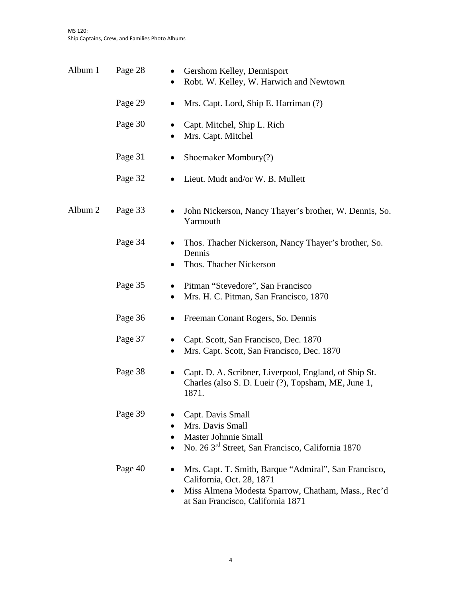| Album 1 | Page 28 | Gershom Kelley, Dennisport<br>Robt. W. Kelley, W. Harwich and Newtown<br>٠                                                                                                    |
|---------|---------|-------------------------------------------------------------------------------------------------------------------------------------------------------------------------------|
|         | Page 29 | Mrs. Capt. Lord, Ship E. Harriman (?)<br>$\bullet$                                                                                                                            |
|         | Page 30 | Capt. Mitchel, Ship L. Rich<br>Mrs. Capt. Mitchel<br>$\bullet$                                                                                                                |
|         | Page 31 | Shoemaker Mombury(?)<br>$\bullet$                                                                                                                                             |
|         | Page 32 | Lieut. Mudt and/or W. B. Mullett<br>$\bullet$                                                                                                                                 |
| Album 2 | Page 33 | John Nickerson, Nancy Thayer's brother, W. Dennis, So.<br>Yarmouth                                                                                                            |
|         | Page 34 | Thos. Thacher Nickerson, Nancy Thayer's brother, So.<br>Dennis<br>Thos. Thacher Nickerson                                                                                     |
|         | Page 35 | Pitman "Stevedore", San Francisco<br>$\bullet$<br>Mrs. H. C. Pitman, San Francisco, 1870<br>٠                                                                                 |
|         | Page 36 | Freeman Conant Rogers, So. Dennis                                                                                                                                             |
|         | Page 37 | Capt. Scott, San Francisco, Dec. 1870<br>$\bullet$<br>Mrs. Capt. Scott, San Francisco, Dec. 1870<br>$\bullet$                                                                 |
|         | Page 38 | Capt. D. A. Scribner, Liverpool, England, of Ship St.<br>$\bullet$<br>Charles (also S. D. Lueir (?), Topsham, ME, June 1,<br>1871.                                            |
|         | Page 39 | Capt. Davis Small<br>Mrs. Davis Small<br>$\bullet$<br>Master Johnnie Small<br>No. 26 3 <sup>rd</sup> Street, San Francisco, California 1870                                   |
|         | Page 40 | Mrs. Capt. T. Smith, Barque "Admiral", San Francisco,<br>California, Oct. 28, 1871<br>Miss Almena Modesta Sparrow, Chatham, Mass., Rec'd<br>at San Francisco, California 1871 |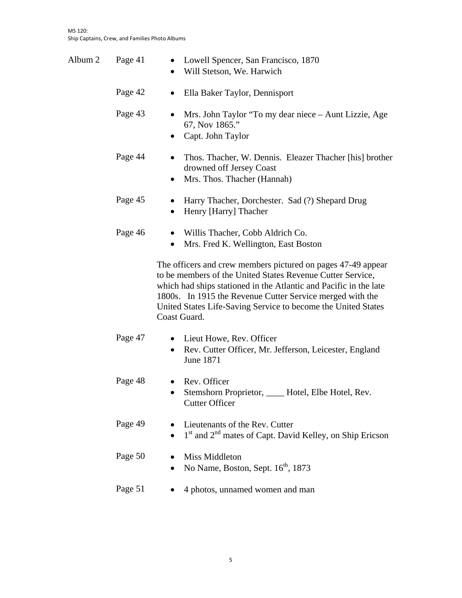| Album 2 | Page 41 | Lowell Spencer, San Francisco, 1870<br>$\bullet$<br>Will Stetson, We. Harwich<br>$\bullet$                                                                                                                                                                                                                                                    |
|---------|---------|-----------------------------------------------------------------------------------------------------------------------------------------------------------------------------------------------------------------------------------------------------------------------------------------------------------------------------------------------|
|         | Page 42 | Ella Baker Taylor, Dennisport<br>$\bullet$                                                                                                                                                                                                                                                                                                    |
|         | Page 43 | Mrs. John Taylor "To my dear niece – Aunt Lizzie, Age<br>67, Nov 1865."<br>Capt. John Taylor                                                                                                                                                                                                                                                  |
|         | Page 44 | Thos. Thacher, W. Dennis. Eleazer Thacher [his] brother<br>٠<br>drowned off Jersey Coast<br>Mrs. Thos. Thacher (Hannah)                                                                                                                                                                                                                       |
|         | Page 45 | Harry Thacher, Dorchester. Sad (?) Shepard Drug<br>Henry [Harry] Thacher<br>$\bullet$                                                                                                                                                                                                                                                         |
|         | Page 46 | Willis Thacher, Cobb Aldrich Co.<br>Mrs. Fred K. Wellington, East Boston<br>٠                                                                                                                                                                                                                                                                 |
|         |         | The officers and crew members pictured on pages 47-49 appear<br>to be members of the United States Revenue Cutter Service,<br>which had ships stationed in the Atlantic and Pacific in the late<br>1800s. In 1915 the Revenue Cutter Service merged with the<br>United States Life-Saving Service to become the United States<br>Coast Guard. |
|         | Page 47 | • Lieut Howe, Rev. Officer<br>Rev. Cutter Officer, Mr. Jefferson, Leicester, England<br>June 1871                                                                                                                                                                                                                                             |
|         | Page 48 | Rev. Officer<br>Stemshorn Proprietor, _____ Hotel, Elbe Hotel, Rev.<br><b>Cutter Officer</b>                                                                                                                                                                                                                                                  |
|         | Page 49 | Lieutenants of the Rev. Cutter<br>1 <sup>st</sup> and 2 <sup>nd</sup> mates of Capt. David Kelley, on Ship Ericson                                                                                                                                                                                                                            |
|         | Page 50 | Miss Middleton<br>No Name, Boston, Sept. 16 <sup>th</sup> , 1873                                                                                                                                                                                                                                                                              |
|         | Page 51 | 4 photos, unnamed women and man                                                                                                                                                                                                                                                                                                               |
|         |         |                                                                                                                                                                                                                                                                                                                                               |